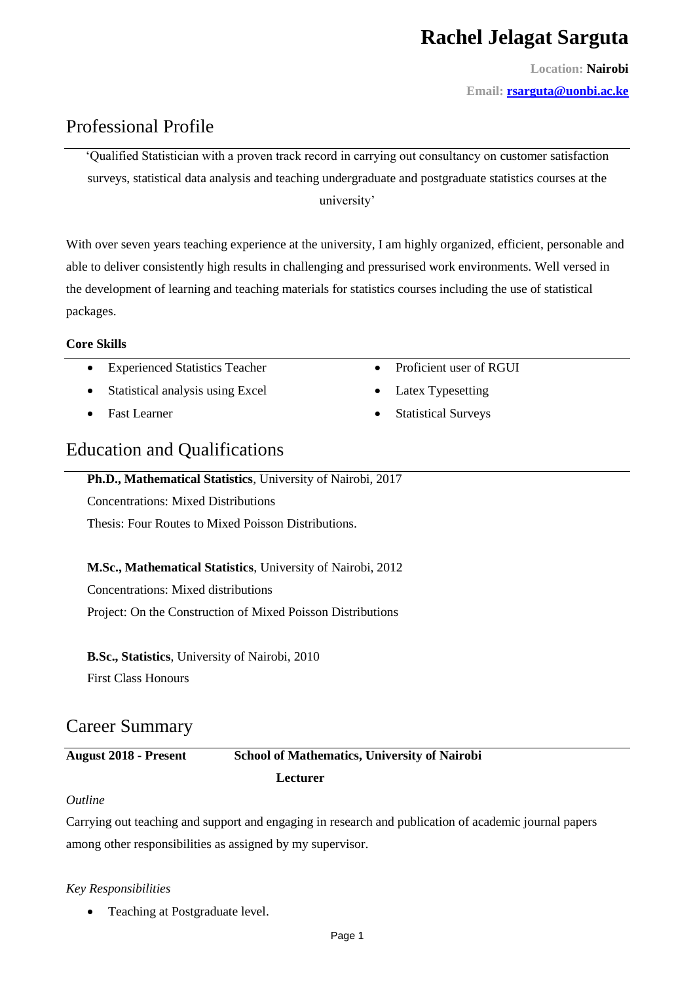# **Rachel Jelagat Sarguta**

**Location: Nairobi**

**Email: [rsarguta@uonbi.ac.ke](mailto:rsarguta@uonbi.ac.ke)**

## Professional Profile

'Qualified Statistician with a proven track record in carrying out consultancy on customer satisfaction surveys, statistical data analysis and teaching undergraduate and postgraduate statistics courses at the university'

With over seven years teaching experience at the university, I am highly organized, efficient, personable and able to deliver consistently high results in challenging and pressurised work environments. Well versed in the development of learning and teaching materials for statistics courses including the use of statistical packages.

#### **Core Skills**

- Experienced Statistics Teacher
- Statistical analysis using Excel
- Fast Learner
- Education and Qualifications

#### **Ph.D., Mathematical Statistics**, University of Nairobi, 2017

Concentrations: Mixed Distributions

Thesis: Four Routes to Mixed Poisson Distributions.

#### **M.Sc., Mathematical Statistics**, University of Nairobi, 2012

Concentrations: Mixed distributions

Project: On the Construction of Mixed Poisson Distributions

**B.Sc., Statistics**, University of Nairobi, 2010

First Class Honours

## Career Summary

### **August 2018 - Present School of Mathematics, University of Nairobi Lecturer**

#### *Outline*

Carrying out teaching and support and engaging in research and publication of academic journal papers among other responsibilities as assigned by my supervisor.

#### *Key Responsibilities*

• Teaching at Postgraduate level.

• Latex Typesetting

• Proficient user of RGUI

• Statistical Surveys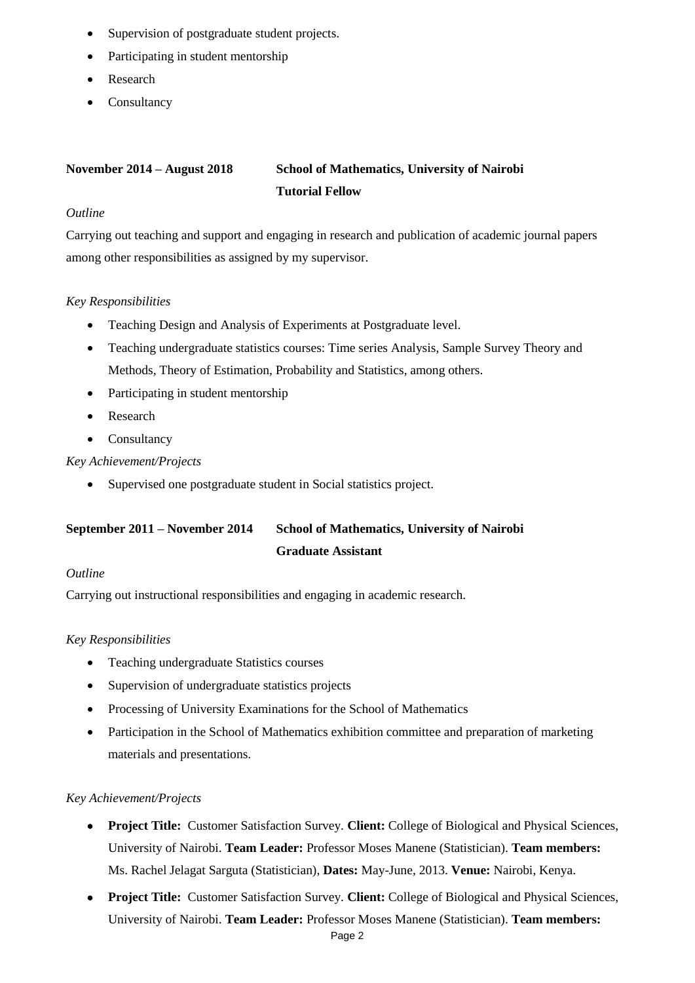- Supervision of postgraduate student projects.
- Participating in student mentorship
- Research
- Consultancy

## **November 2014 – August 2018 School of Mathematics, University of Nairobi Tutorial Fellow**

#### *Outline*

Carrying out teaching and support and engaging in research and publication of academic journal papers among other responsibilities as assigned by my supervisor.

#### *Key Responsibilities*

- Teaching Design and Analysis of Experiments at Postgraduate level.
- Teaching undergraduate statistics courses: Time series Analysis, Sample Survey Theory and Methods, Theory of Estimation, Probability and Statistics, among others.
- Participating in student mentorship
- Research
- Consultancy

#### *Key Achievement/Projects*

Supervised one postgraduate student in Social statistics project.

## **September 2011 – November 2014 School of Mathematics, University of Nairobi Graduate Assistant**

#### *Outline*

Carrying out instructional responsibilities and engaging in academic research.

#### *Key Responsibilities*

- Teaching undergraduate Statistics courses
- Supervision of undergraduate statistics projects
- Processing of University Examinations for the School of Mathematics
- Participation in the School of Mathematics exhibition committee and preparation of marketing materials and presentations.

#### *Key Achievement/Projects*

- **Project Title:** Customer Satisfaction Survey. **Client:** College of Biological and Physical Sciences, University of Nairobi. **Team Leader:** Professor Moses Manene (Statistician). **Team members:** Ms. Rachel Jelagat Sarguta (Statistician), **Dates:** May-June, 2013. **Venue:** Nairobi, Kenya.
- **Project Title:** Customer Satisfaction Survey. **Client:** College of Biological and Physical Sciences, University of Nairobi. **Team Leader:** Professor Moses Manene (Statistician). **Team members:**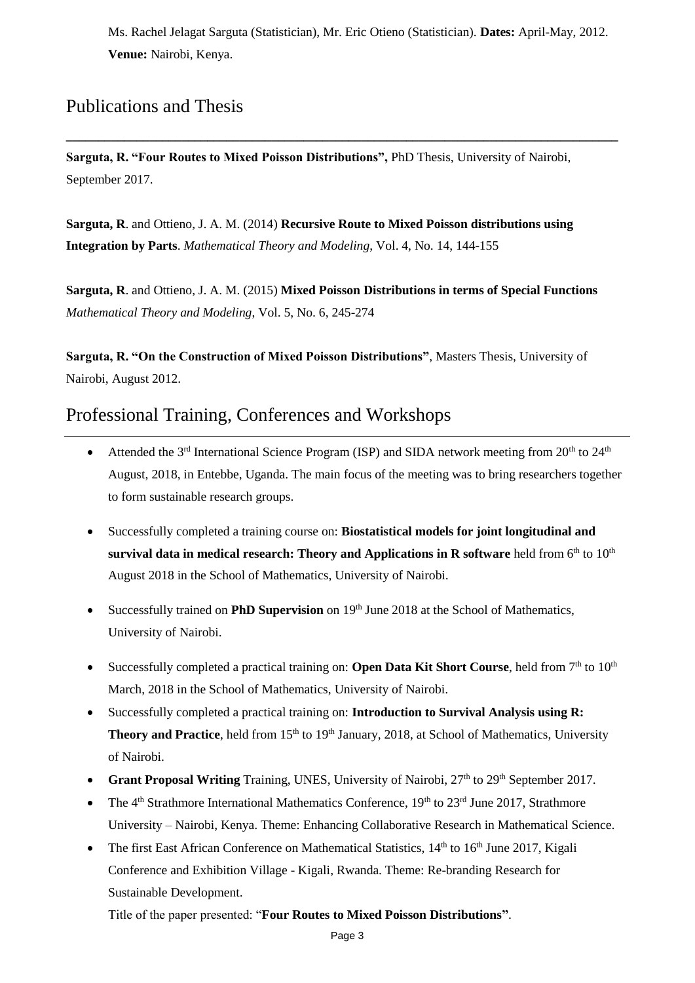Ms. Rachel Jelagat Sarguta (Statistician), Mr. Eric Otieno (Statistician). **Dates:** April-May, 2012. **Venue:** Nairobi, Kenya.

## Publications and Thesis

**Sarguta, R. "Four Routes to Mixed Poisson Distributions",** PhD Thesis, University of Nairobi, September 2017.

**\_\_\_\_\_\_\_\_\_\_\_\_\_\_\_\_\_\_\_\_\_\_\_\_\_\_\_\_\_\_\_\_\_\_\_\_\_\_\_\_\_\_\_\_\_\_\_\_\_\_\_\_\_\_\_\_\_\_\_\_\_\_\_\_\_\_\_\_\_\_\_\_\_\_\_\_\_\_\_\_\_\_\_\_\_\_**

**Sarguta, R**. and Ottieno, J. A. M. (2014) **Recursive Route to Mixed Poisson distributions using Integration by Parts**. *Mathematical Theory and Modeling*, Vol. 4, No. 14, 144-155

**Sarguta, R**. and Ottieno, J. A. M. (2015) **Mixed Poisson Distributions in terms of Special Functions** *Mathematical Theory and Modeling*, Vol. 5, No. 6, 245-274

**Sarguta, R. "On the Construction of Mixed Poisson Distributions"**, Masters Thesis, University of Nairobi, August 2012.

## Professional Training, Conferences and Workshops

- Attended the  $3<sup>rd</sup>$  International Science Program (ISP) and SIDA network meeting from  $20<sup>th</sup>$  to  $24<sup>th</sup>$ August, 2018, in Entebbe, Uganda. The main focus of the meeting was to bring researchers together to form sustainable research groups.
- Successfully completed a training course on: **Biostatistical models for joint longitudinal and**   ${\bf s}$ urvival data in medical research: Theory and Applications in **R** software held from  $6^{\text{th}}$  to  $10^{\text{th}}$ August 2018 in the School of Mathematics, University of Nairobi.
- Successfully trained on **PhD Supervision** on 19<sup>th</sup> June 2018 at the School of Mathematics, University of Nairobi.
- Successfully completed a practical training on: **Open Data Kit Short Course**, held from 7<sup>th</sup> to 10<sup>th</sup> March, 2018 in the School of Mathematics, University of Nairobi.
- Successfully completed a practical training on: **Introduction to Survival Analysis using R: Theory and Practice**, held from 15<sup>th</sup> to 19<sup>th</sup> January, 2018, at School of Mathematics, University of Nairobi.
- Grant Proposal Writing Training, UNES, University of Nairobi, 27<sup>th</sup> to 29<sup>th</sup> September 2017.
- The  $4<sup>th</sup>$  Strathmore International Mathematics Conference,  $19<sup>th</sup>$  to  $23<sup>rd</sup>$  June 2017, Strathmore University – Nairobi, Kenya. Theme: Enhancing Collaborative Research in Mathematical Science.
- The first East African Conference on Mathematical Statistics,  $14<sup>th</sup>$  to  $16<sup>th</sup>$  June 2017, Kigali Conference and Exhibition Village - Kigali, Rwanda. Theme: Re-branding Research for Sustainable Development.

Title of the paper presented: "**Four Routes to Mixed Poisson Distributions"**.

Page 3